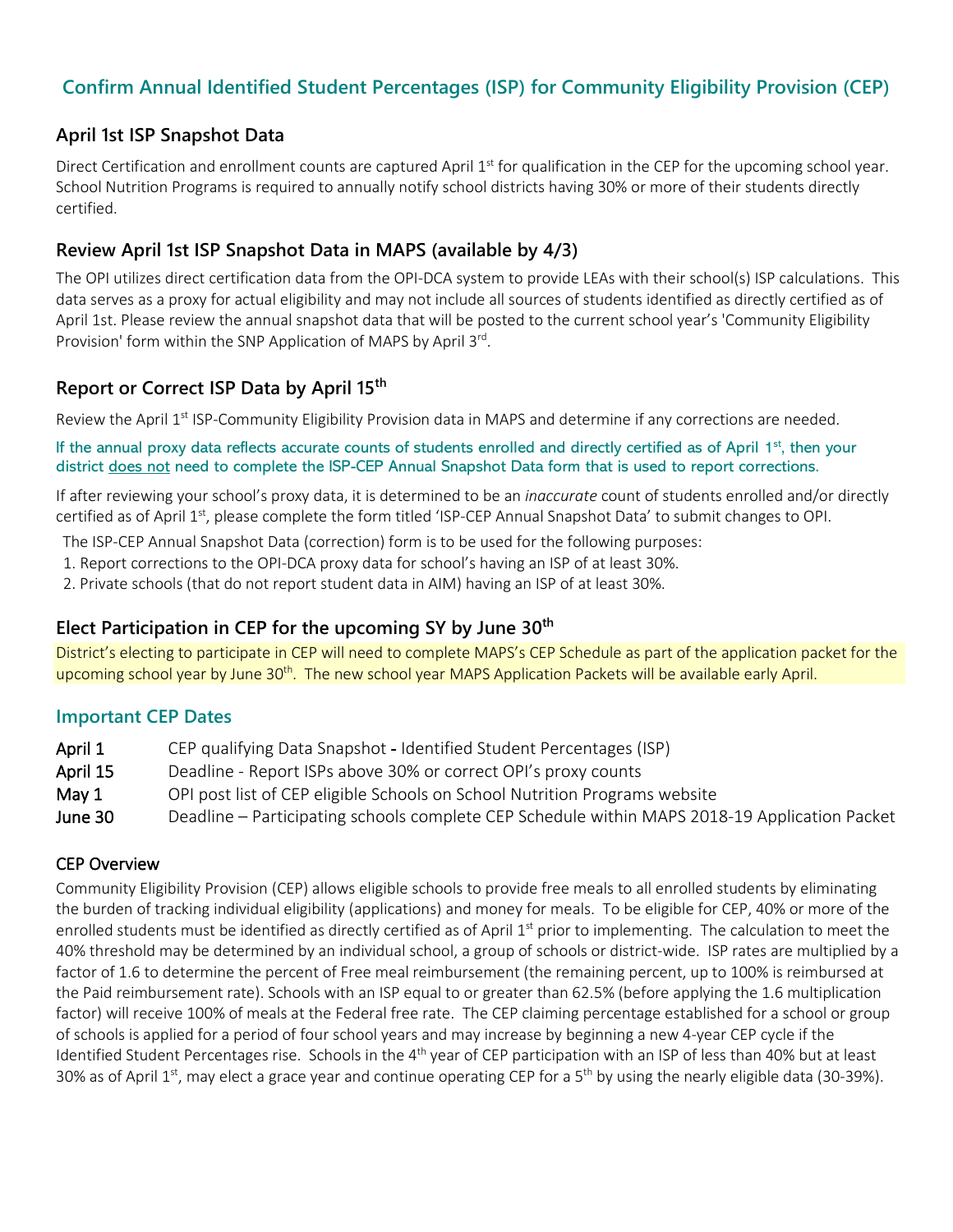# **Confirm Annual Identified Student Percentages (ISP) for Community Eligibility Provision (CEP)**

## **April 1st ISP Snapshot Data**

Direct Certification and enrollment counts are captured April  $1<sup>st</sup>$  for qualification in the CEP for the upcoming school year. School Nutrition Programs is required to annually notify school districts having 30% or more of their students directly certified.

## **Review April 1st ISP Snapshot Data in MAPS (available by 4/3)**

The OPI utilizes direct certification data from the OPI-DCA system to provide LEAs with their school(s) ISP calculations. This data serves as a proxy for actual eligibility and may not include all sources of students identified as directly certified as of April 1st. Please review the annual snapshot data that will be posted to the current school year's 'Community Eligibility Provision' form within the SNP Application of MAPS by April 3rd.

## **Report or Correct ISP Data by April 15th**

Review the April 1<sup>st</sup> ISP-Community Eligibility Provision data in MAPS and determine if any corrections are needed.

#### If the annual proxy data reflects accurate counts of students enrolled and directly certified as of April  $1<sup>st</sup>$ , then your district does not need to complete the ISP-CEP Annual Snapshot Data form that is used to report corrections.

If after reviewing your school's proxy data, it is determined to be an *inaccurate* count of students enrolled and/or directly certified as of April 1<sup>st</sup>, please complete the form titled 'ISP-CEP Annual Snapshot Data' to submit changes to OPI.

- The ISP-CEP Annual Snapshot Data (correction) form is to be used for the following purposes:
- 1. Report corrections to the OPI-DCA proxy data for school's having an ISP of at least 30%.
- 2. Private schools (that do not report student data in AIM) having an ISP of at least 30%.

## **Elect Participation in CEP for the upcoming SY by June 30th**

District's electing to participate in CEP will need to complete MAPS's CEP Schedule as part of the application packet for the upcoming school year by June 30<sup>th</sup>. The new school year MAPS Application Packets will be available early April.

## **Important CEP Dates**

- April 1 CEP qualifying Data Snapshot Identified Student Percentages (ISP)
- April 15 Deadline Report ISPs above 30% or correct OPI's proxy counts
- May 1 OPI post list of CEP eligible Schools on School Nutrition Programs website
- June 30 Deadline Participating schools complete CEP Schedule within MAPS 2018-19 Application Packet

#### CEP Overview

Community Eligibility Provision (CEP) allows eligible schools to provide free meals to all enrolled students by eliminating the burden of tracking individual eligibility (applications) and money for meals. To be eligible for CEP, 40% or more of the enrolled students must be identified as directly certified as of April 1<sup>st</sup> prior to implementing. The calculation to meet the 40% threshold may be determined by an individual school, a group of schools or district-wide. ISP rates are multiplied by a factor of 1.6 to determine the percent of Free meal reimbursement (the remaining percent, up to 100% is reimbursed at the Paid reimbursement rate). Schools with an ISP equal to or greater than 62.5% (before applying the 1.6 multiplication factor) will receive 100% of meals at the Federal free rate. The CEP claiming percentage established for a school or group of schools is applied for a period of four school years and may increase by beginning a new 4-year CEP cycle if the Identified Student Percentages rise. Schools in the  $4<sup>th</sup>$  year of CEP participation with an ISP of less than 40% but at least 30% as of April 1<sup>st</sup>, may elect a grace year and continue operating CEP for a 5<sup>th</sup> by using the nearly eligible data (30-39%).